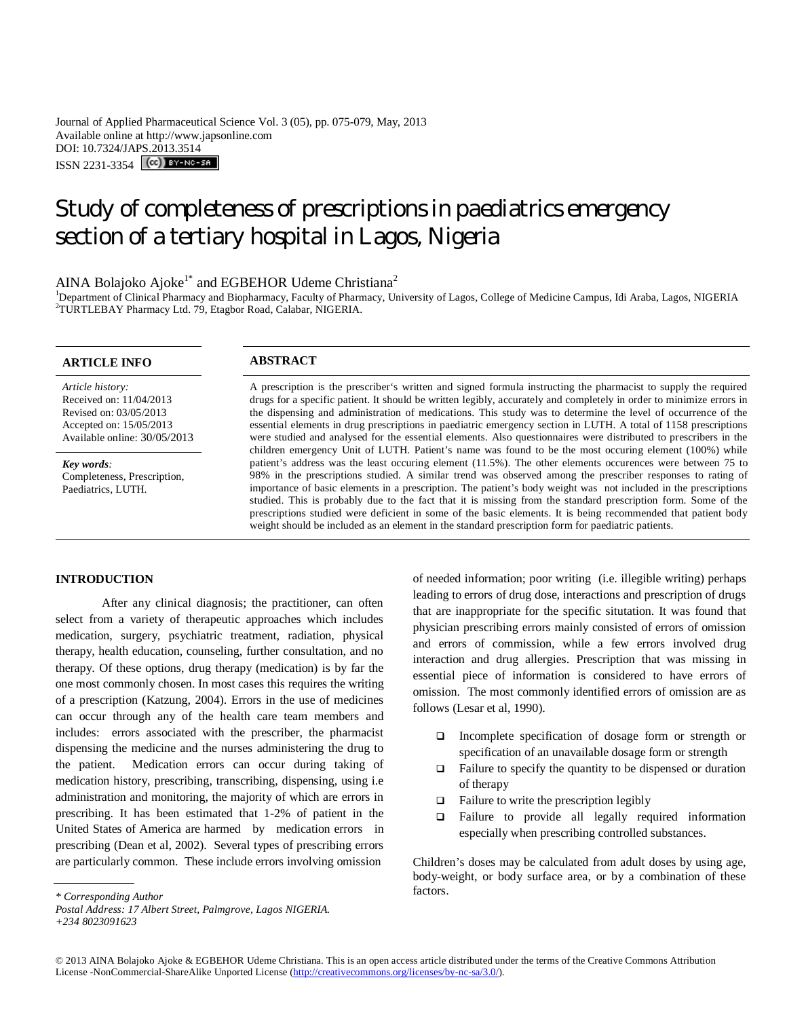Journal of Applied Pharmaceutical Science Vol. 3 (05), pp. 075-079, May, 2013 Available online at http://www.japsonline.com DOI: 10.7324/JAPS.2013.3514 ISSN 2231-3354 (CC) BY-NO-58

# Study of completeness of prescriptions in paediatrics emergency section of a tertiary hospital in Lagos, Nigeria

# AINA Bolajoko Ajoke<sup>1\*</sup> and EGBEHOR Udeme Christiana<sup>2</sup>

<sup>1</sup>Department of Clinical Pharmacy and Biopharmacy, Faculty of Pharmacy, University of Lagos, College of Medicine Campus, Idi Araba, Lagos, NIGERIA <sup>2</sup>TURTLEBAY Pharmacy Ltd. 79, Etagbor Road, Calabar, NIGERIA.

## **ARTICLE INFO ABSTRACT**

*Article history:* Received on: 11/04/2013 Revised on: 03/05/2013 Accepted on: 15/05/2013 Available online: 30/05/2013

*Key words:*  Completeness, Prescription, Paediatrics, LUTH.

A prescription is the prescriber's written and signed formula instructing the pharmacist to supply the required drugs for a specific patient. It should be written legibly, accurately and completely in order to minimize errors in the dispensing and administration of medications. This study was to determine the level of occurrence of the essential elements in drug prescriptions in paediatric emergency section in LUTH. A total of 1158 prescriptions were studied and analysed for the essential elements. Also questionnaires were distributed to prescribers in the children emergency Unit of LUTH. Patient's name was found to be the most occuring element (100%) while patient's address was the least occuring element (11.5%). The other elements occurences were between 75 to 98% in the prescriptions studied. A similar trend was observed among the prescriber responses to rating of importance of basic elements in a prescription. The patient's body weight was not included in the prescriptions studied. This is probably due to the fact that it is missing from the standard prescription form. Some of the prescriptions studied were deficient in some of the basic elements. It is being recommended that patient body weight should be included as an element in the standard prescription form for paediatric patients.

### **INTRODUCTION**

After any clinical diagnosis; the practitioner, can often select from a variety of therapeutic approaches which includes medication, surgery, psychiatric treatment, radiation, physical therapy, health education, counseling, further consultation, and no therapy. Of these options, drug therapy (medication) is by far the one most commonly chosen. In most cases this requires the writing of a prescription (Katzung, 2004). Errors in the use of medicines can occur through any of the health care team members and includes: errors associated with the prescriber, the pharmacist dispensing the medicine and the nurses administering the drug to the patient. Medication errors can occur during taking of medication history, prescribing, transcribing, dispensing, using i.e administration and monitoring, the majority of which are errors in prescribing. It has been estimated that 1-2% of patient in the United States of America are harmed by medication errors in prescribing (Dean et al, 2002). Several types of prescribing errors are particularly common. These include errors involving omission

of needed information; poor writing (i.e. illegible writing) perhaps leading to errors of drug dose, interactions and prescription of drugs that are inappropriate for the specific situtation. It was found that physician prescribing errors mainly consisted of errors of omission and errors of commission, while a few errors involved drug interaction and drug allergies. Prescription that was missing in essential piece of information is considered to have errors of omission. The most commonly identified errors of omission are as follows (Lesar et al, 1990).

- Incomplete specification of dosage form or strength or specification of an unavailable dosage form or strength
- $\Box$  Failure to specify the quantity to be dispensed or duration of therapy
- $\Box$  Failure to write the prescription legibly
- Failure to provide all legally required information especially when prescribing controlled substances.

Children's doses may be calculated from adult doses by using age, body-weight, or body surface area, or by a combination of these factors.

*<sup>\*</sup> Corresponding Author*

*Postal Address: 17 Albert Street, Palmgrove, Lagos NIGERIA.*

*<sup>+234 8023091623</sup>*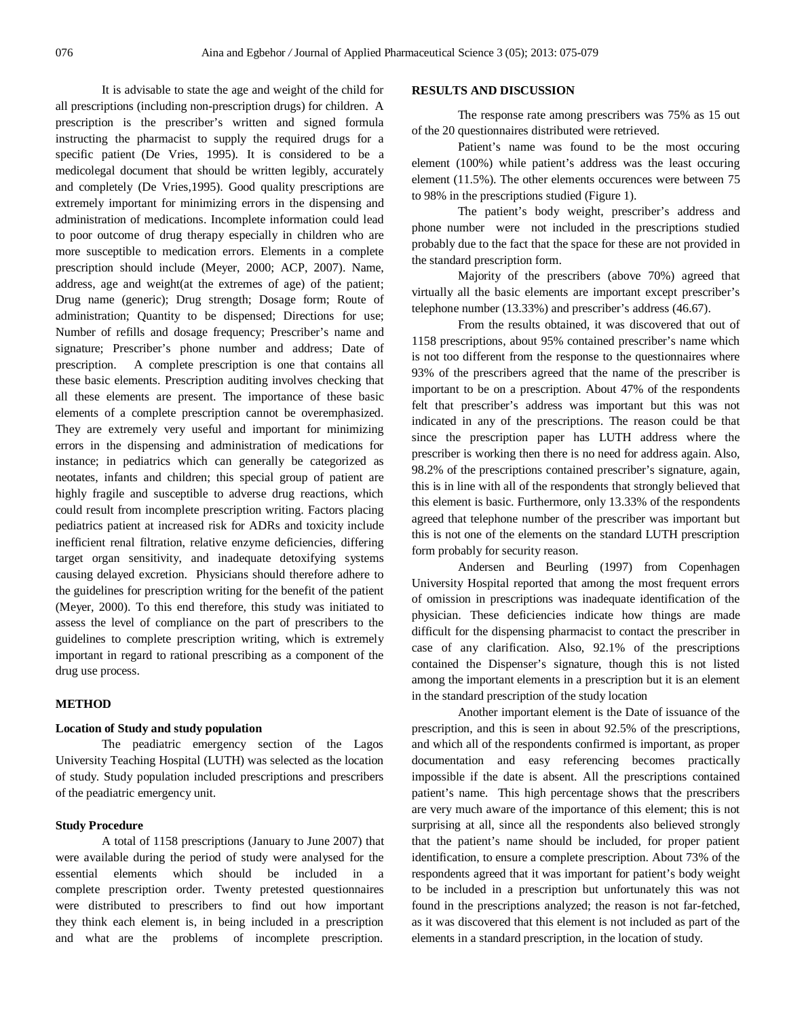It is advisable to state the age and weight of the child for all prescriptions (including non-prescription drugs) for children. A prescription is the prescriber's written and signed formula instructing the pharmacist to supply the required drugs for a specific patient (De Vries, 1995). It is considered to be a medicolegal document that should be written legibly, accurately and completely (De Vries,1995). Good quality prescriptions are extremely important for minimizing errors in the dispensing and administration of medications. Incomplete information could lead to poor outcome of drug therapy especially in children who are more susceptible to medication errors. Elements in a complete prescription should include (Meyer, 2000; ACP, 2007). Name, address, age and weight(at the extremes of age) of the patient; Drug name (generic); Drug strength; Dosage form; Route of administration; Quantity to be dispensed; Directions for use; Number of refills and dosage frequency; Prescriber's name and signature; Prescriber's phone number and address; Date of prescription. A complete prescription is one that contains all these basic elements. Prescription auditing involves checking that all these elements are present. The importance of these basic elements of a complete prescription cannot be overemphasized. They are extremely very useful and important for minimizing errors in the dispensing and administration of medications for instance; in pediatrics which can generally be categorized as neotates, infants and children; this special group of patient are highly fragile and susceptible to adverse drug reactions, which could result from incomplete prescription writing. Factors placing pediatrics patient at increased risk for ADRs and toxicity include inefficient renal filtration, relative enzyme deficiencies, differing target organ sensitivity, and inadequate detoxifying systems causing delayed excretion. Physicians should therefore adhere to the guidelines for prescription writing for the benefit of the patient (Meyer, 2000). To this end therefore, this study was initiated to assess the level of compliance on the part of prescribers to the guidelines to complete prescription writing, which is extremely important in regard to rational prescribing as a component of the drug use process.

#### **METHOD**

#### **Location of Study and study population**

The peadiatric emergency section of the Lagos University Teaching Hospital (LUTH) was selected as the location of study. Study population included prescriptions and prescribers of the peadiatric emergency unit.

#### **Study Procedure**

A total of 1158 prescriptions (January to June 2007) that were available during the period of study were analysed for the essential elements which should be included in a complete prescription order. Twenty pretested questionnaires were distributed to prescribers to find out how important they think each element is, in being included in a prescription and what are the problems of incomplete prescription.

#### **RESULTS AND DISCUSSION**

The response rate among prescribers was 75% as 15 out of the 20 questionnaires distributed were retrieved.

Patient's name was found to be the most occuring element (100%) while patient's address was the least occuring element (11.5%). The other elements occurences were between 75 to 98% in the prescriptions studied (Figure 1).

The patient's body weight, prescriber's address and phone number were not included in the prescriptions studied probably due to the fact that the space for these are not provided in the standard prescription form.

Majority of the prescribers (above 70%) agreed that virtually all the basic elements are important except prescriber's telephone number (13.33%) and prescriber's address (46.67).

From the results obtained, it was discovered that out of 1158 prescriptions, about 95% contained prescriber's name which is not too different from the response to the questionnaires where 93% of the prescribers agreed that the name of the prescriber is important to be on a prescription. About 47% of the respondents felt that prescriber's address was important but this was not indicated in any of the prescriptions. The reason could be that since the prescription paper has LUTH address where the prescriber is working then there is no need for address again. Also, 98.2% of the prescriptions contained prescriber's signature, again, this is in line with all of the respondents that strongly believed that this element is basic. Furthermore, only 13.33% of the respondents agreed that telephone number of the prescriber was important but this is not one of the elements on the standard LUTH prescription form probably for security reason.

Andersen and Beurling (1997) from Copenhagen University Hospital reported that among the most frequent errors of omission in prescriptions was inadequate identification of the physician. These deficiencies indicate how things are made difficult for the dispensing pharmacist to contact the prescriber in case of any clarification. Also, 92.1% of the prescriptions contained the Dispenser's signature, though this is not listed among the important elements in a prescription but it is an element in the standard prescription of the study location

Another important element is the Date of issuance of the prescription, and this is seen in about 92.5% of the prescriptions, and which all of the respondents confirmed is important, as proper documentation and easy referencing becomes practically impossible if the date is absent. All the prescriptions contained patient's name. This high percentage shows that the prescribers are very much aware of the importance of this element; this is not surprising at all, since all the respondents also believed strongly that the patient's name should be included, for proper patient identification, to ensure a complete prescription. About 73% of the respondents agreed that it was important for patient's body weight to be included in a prescription but unfortunately this was not found in the prescriptions analyzed; the reason is not far-fetched, as it was discovered that this element is not included as part of the elements in a standard prescription, in the location of study.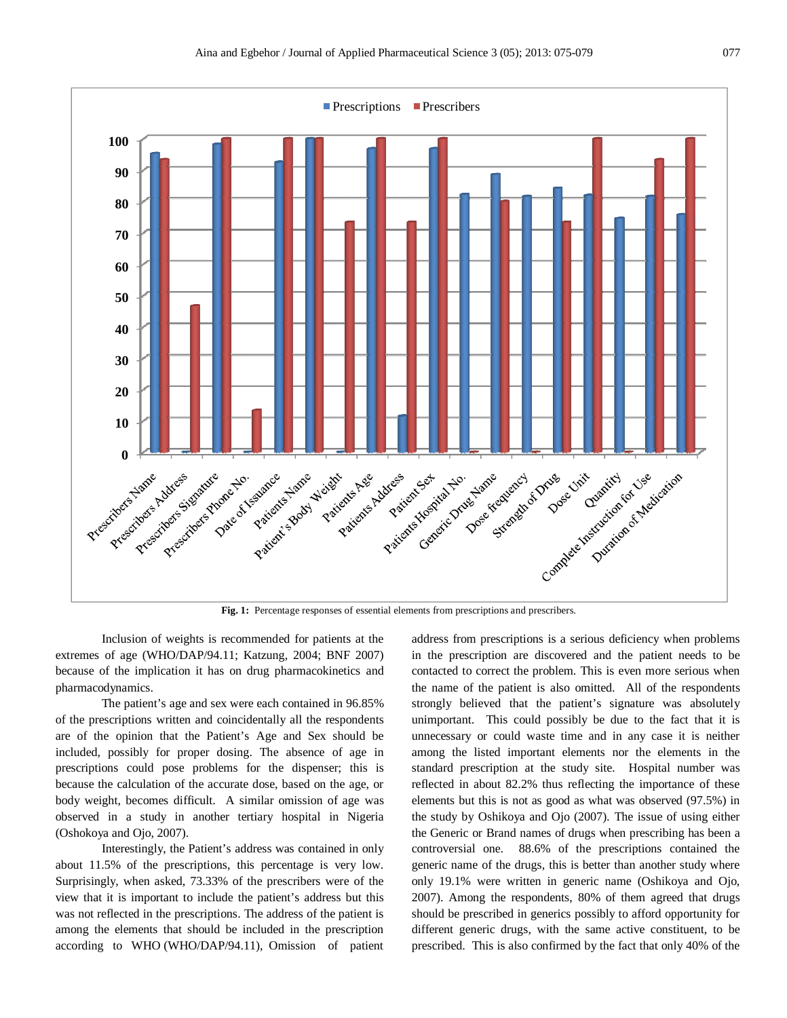

**Fig. 1:** Percentage responses of essential elements from prescriptions and prescribers.

Inclusion of weights is recommended for patients at the extremes of age (WHO/DAP/94.11; Katzung, 2004; BNF 2007) because of the implication it has on drug pharmacokinetics and pharmacodynamics.

The patient's age and sex were each contained in 96.85% of the prescriptions written and coincidentally all the respondents are of the opinion that the Patient's Age and Sex should be included, possibly for proper dosing. The absence of age in prescriptions could pose problems for the dispenser; this is because the calculation of the accurate dose, based on the age, or body weight, becomes difficult. A similar omission of age was observed in a study in another tertiary hospital in Nigeria (Oshokoya and Ojo, 2007).

Interestingly, the Patient's address was contained in only about 11.5% of the prescriptions, this percentage is very low. Surprisingly, when asked, 73.33% of the prescribers were of the view that it is important to include the patient's address but this was not reflected in the prescriptions. The address of the patient is among the elements that should be included in the prescription according to WHO (WHO/DAP/94.11), Omission of patient

address from prescriptions is a serious deficiency when problems in the prescription are discovered and the patient needs to be contacted to correct the problem. This is even more serious when the name of the patient is also omitted. All of the respondents strongly believed that the patient's signature was absolutely unimportant. This could possibly be due to the fact that it is unnecessary or could waste time and in any case it is neither among the listed important elements nor the elements in the standard prescription at the study site. Hospital number was reflected in about 82.2% thus reflecting the importance of these elements but this is not as good as what was observed (97.5%) in the study by Oshikoya and Ojo (2007). The issue of using either the Generic or Brand names of drugs when prescribing has been a controversial one. 88.6% of the prescriptions contained the generic name of the drugs, this is better than another study where only 19.1% were written in generic name (Oshikoya and Ojo, 2007). Among the respondents, 80% of them agreed that drugs should be prescribed in generics possibly to afford opportunity for different generic drugs, with the same active constituent, to be prescribed. This is also confirmed by the fact that only 40% of the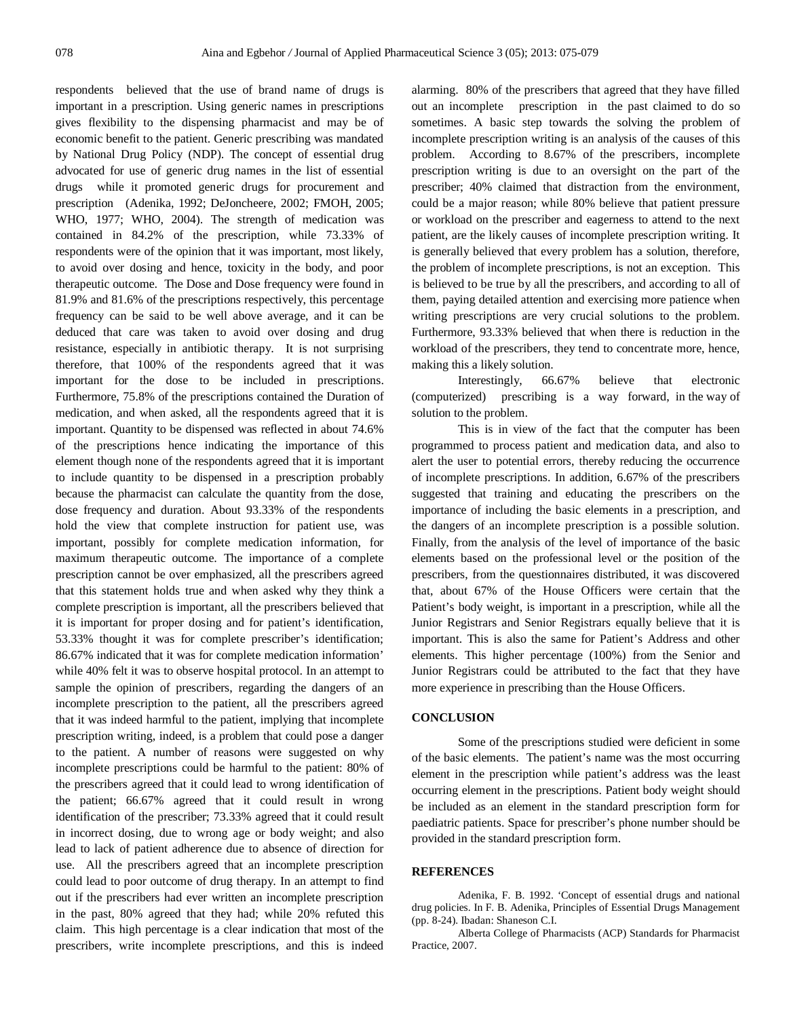respondents believed that the use of brand name of drugs is important in a prescription. Using generic names in prescriptions gives flexibility to the dispensing pharmacist and may be of economic benefit to the patient. Generic prescribing was mandated by National Drug Policy (NDP). The concept of essential drug advocated for use of generic drug names in the list of essential drugs while it promoted generic drugs for procurement and prescription (Adenika, 1992; DeJoncheere, 2002; FMOH, 2005; WHO, 1977; WHO, 2004). The strength of medication was contained in 84.2% of the prescription, while 73.33% of respondents were of the opinion that it was important, most likely, to avoid over dosing and hence, toxicity in the body, and poor therapeutic outcome. The Dose and Dose frequency were found in 81.9% and 81.6% of the prescriptions respectively, this percentage frequency can be said to be well above average, and it can be deduced that care was taken to avoid over dosing and drug resistance, especially in antibiotic therapy. It is not surprising therefore, that 100% of the respondents agreed that it was important for the dose to be included in prescriptions. Furthermore, 75.8% of the prescriptions contained the Duration of medication, and when asked, all the respondents agreed that it is important. Quantity to be dispensed was reflected in about 74.6% of the prescriptions hence indicating the importance of this element though none of the respondents agreed that it is important to include quantity to be dispensed in a prescription probably because the pharmacist can calculate the quantity from the dose, dose frequency and duration. About 93.33% of the respondents hold the view that complete instruction for patient use, was important, possibly for complete medication information, for maximum therapeutic outcome. The importance of a complete prescription cannot be over emphasized, all the prescribers agreed that this statement holds true and when asked why they think a complete prescription is important, all the prescribers believed that it is important for proper dosing and for patient's identification, 53.33% thought it was for complete prescriber's identification; 86.67% indicated that it was for complete medication information' while 40% felt it was to observe hospital protocol. In an attempt to sample the opinion of prescribers, regarding the dangers of an incomplete prescription to the patient, all the prescribers agreed that it was indeed harmful to the patient, implying that incomplete prescription writing, indeed, is a problem that could pose a danger to the patient. A number of reasons were suggested on why incomplete prescriptions could be harmful to the patient: 80% of the prescribers agreed that it could lead to wrong identification of the patient; 66.67% agreed that it could result in wrong identification of the prescriber; 73.33% agreed that it could result in incorrect dosing, due to wrong age or body weight; and also lead to lack of patient adherence due to absence of direction for use. All the prescribers agreed that an incomplete prescription could lead to poor outcome of drug therapy. In an attempt to find out if the prescribers had ever written an incomplete prescription in the past, 80% agreed that they had; while 20% refuted this claim. This high percentage is a clear indication that most of the prescribers, write incomplete prescriptions, and this is indeed alarming. 80% of the prescribers that agreed that they have filled out an incomplete prescription in the past claimed to do so sometimes. A basic step towards the solving the problem of incomplete prescription writing is an analysis of the causes of this problem. According to 8.67% of the prescribers, incomplete prescription writing is due to an oversight on the part of the prescriber; 40% claimed that distraction from the environment, could be a major reason; while 80% believe that patient pressure or workload on the prescriber and eagerness to attend to the next patient, are the likely causes of incomplete prescription writing. It is generally believed that every problem has a solution, therefore, the problem of incomplete prescriptions, is not an exception. This is believed to be true by all the prescribers, and according to all of them, paying detailed attention and exercising more patience when writing prescriptions are very crucial solutions to the problem. Furthermore, 93.33% believed that when there is reduction in the workload of the prescribers, they tend to concentrate more, hence, making this a likely solution.

Interestingly, 66.67% believe that electronic (computerized) prescribing is a way forward, in the way of solution to the problem.

This is in view of the fact that the computer has been programmed to process patient and medication data, and also to alert the user to potential errors, thereby reducing the occurrence of incomplete prescriptions. In addition, 6.67% of the prescribers suggested that training and educating the prescribers on the importance of including the basic elements in a prescription, and the dangers of an incomplete prescription is a possible solution. Finally, from the analysis of the level of importance of the basic elements based on the professional level or the position of the prescribers, from the questionnaires distributed, it was discovered that, about 67% of the House Officers were certain that the Patient's body weight, is important in a prescription, while all the Junior Registrars and Senior Registrars equally believe that it is important. This is also the same for Patient's Address and other elements. This higher percentage (100%) from the Senior and Junior Registrars could be attributed to the fact that they have more experience in prescribing than the House Officers.

#### **CONCLUSION**

Some of the prescriptions studied were deficient in some of the basic elements. The patient's name was the most occurring element in the prescription while patient's address was the least occurring element in the prescriptions. Patient body weight should be included as an element in the standard prescription form for paediatric patients. Space for prescriber's phone number should be provided in the standard prescription form.

#### **REFERENCES**

Adenika, F. B. 1992. 'Concept of essential drugs and national drug policies. In F. B. Adenika, Principles of Essential Drugs Management (pp. 8-24). Ibadan: Shaneson C.I.

Alberta College of Pharmacists (ACP) Standards for Pharmacist Practice, 2007.